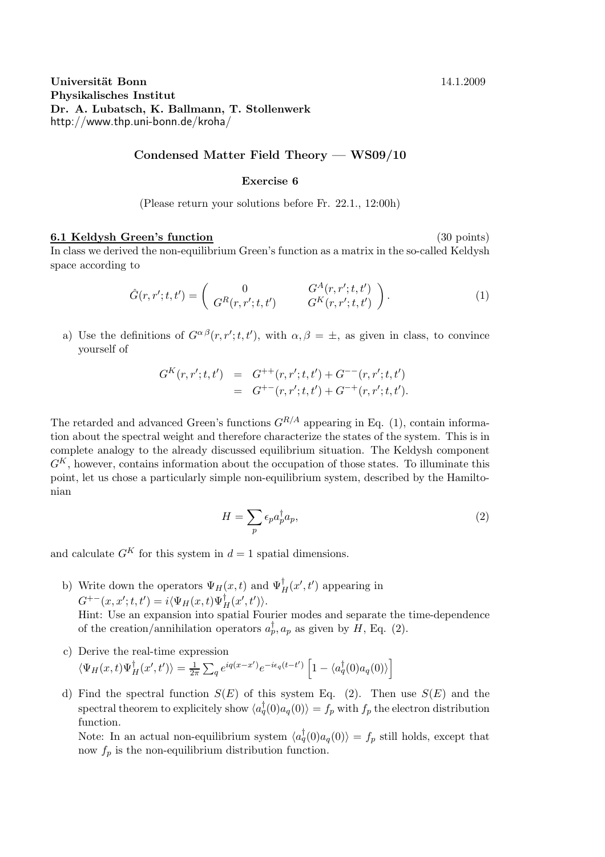## Universität Bonn 14.1.2009 Physikalisches Institut Dr. A. Lubatsch, K. Ballmann, T. Stollenwerk http://www.thp.uni-bonn.de/kroha/

## Condensed Matter Field Theory — WS09/10

## Exercise 6

(Please return your solutions before Fr. 22.1., 12:00h)

## 6.1 Keldysh Green's function (30 points)

In class we derived the non-equilibrium Green's function as a matrix in the so-called Keldysh space according to

$$
\hat{G}(r, r'; t, t') = \begin{pmatrix} 0 & G^A(r, r'; t, t') \\ G^R(r, r'; t, t') & G^K(r, r'; t, t') \end{pmatrix}.
$$
 (1)

a) Use the definitions of  $G^{\alpha\beta}(r,r';t,t')$ , with  $\alpha,\beta = \pm$ , as given in class, to convince yourself of

$$
G^{K}(r,r';t,t') = G^{++}(r,r';t,t') + G^{--}(r,r';t,t')= G^{+-}(r,r';t,t') + G^{-+}(r,r';t,t').
$$

The retarded and advanced Green's functions  $G^{R/A}$  appearing in Eq. (1), contain information about the spectral weight and therefore characterize the states of the system. This is in complete analogy to the already discussed equilibrium situation. The Keldysh component  $G<sup>K</sup>$ , however, contains information about the occupation of those states. To illuminate this point, let us chose a particularly simple non-equilibrium system, described by the Hamiltonian

$$
H = \sum_{p} \epsilon_{p} a_{p}^{\dagger} a_{p},\tag{2}
$$

and calculate  $G^{K}$  for this system in  $d = 1$  spatial dimensions.

b) Write down the operators  $\Psi_H(x,t)$  and  $\Psi_H^{\dagger}(x',t')$  appearing in  $G^{+-}(x, x'; t, t') = i \langle \Psi_H(x, t) \Psi_H^{\dagger}(x', t') \rangle.$ 

Hint: Use an expansion into spatial Fourier modes and separate the time-dependence of the creation/annihilation operators  $a_p^{\dagger}, a_p$  as given by  $H$ , Eq. (2).

- c) Derive the real-time expression  $\langle \Psi_H(x,t)\Psi_H^{\dagger}(x',t')\rangle = \frac{1}{2\pi}$  $\frac{1}{2\pi} \sum_{q} e^{iq(x-x')} e^{-i\epsilon_q(t-t')} \left[1 - \langle a_q^{\dagger}(0) a_q(0)\rangle \right]$
- d) Find the spectral function  $S(E)$  of this system Eq. (2). Then use  $S(E)$  and the spectral theorem to explicitely show  $\langle a_q^{\dagger}(0) a_q(0) \rangle = f_p$  with  $f_p$  the electron distribution function.

Note: In an actual non-equilibrium system  $\langle a_q^{\dagger}(0) a_q(0) \rangle = f_p$  still holds, except that now  $f_p$  is the non-equilibrium distribution function.